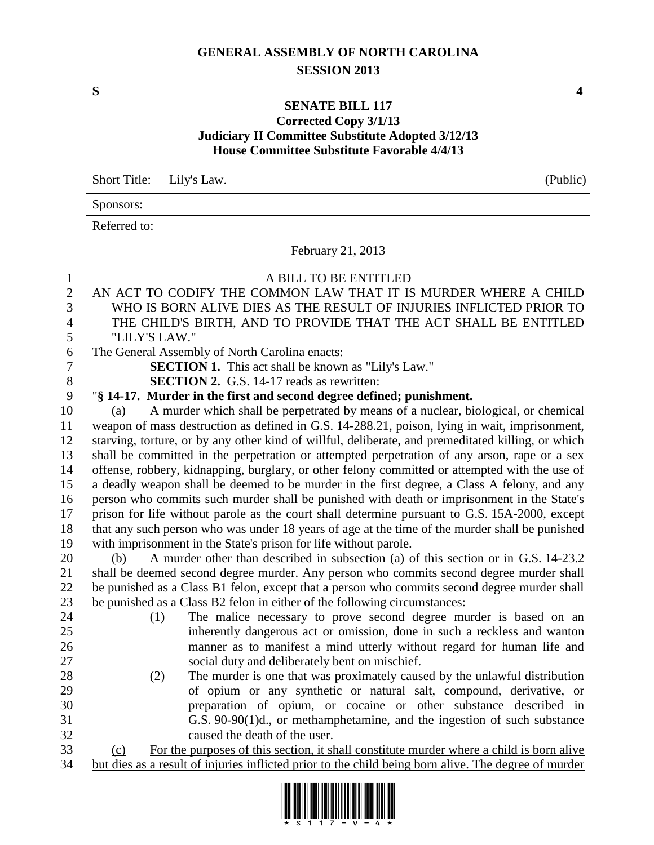## **GENERAL ASSEMBLY OF NORTH CAROLINA SESSION 2013**

**S 4**

## **SENATE BILL 117 Corrected Copy 3/1/13 Judiciary II Committee Substitute Adopted 3/12/13 House Committee Substitute Favorable 4/4/13**

Short Title: Lily's Law. (Public) Sponsors: Referred to: February 21, 2013 A BILL TO BE ENTITLED AN ACT TO CODIFY THE COMMON LAW THAT IT IS MURDER WHERE A CHILD WHO IS BORN ALIVE DIES AS THE RESULT OF INJURIES INFLICTED PRIOR TO THE CHILD'S BIRTH, AND TO PROVIDE THAT THE ACT SHALL BE ENTITLED "LILY'S LAW." The General Assembly of North Carolina enacts: **SECTION 1.** This act shall be known as "Lily's Law." **SECTION 2.** G.S. 14-17 reads as rewritten: "**§ 14-17. Murder in the first and second degree defined; punishment.** (a) A murder which shall be perpetrated by means of a nuclear, biological, or chemical weapon of mass destruction as defined in G.S. 14-288.21, poison, lying in wait, imprisonment, starving, torture, or by any other kind of willful, deliberate, and premeditated killing, or which shall be committed in the perpetration or attempted perpetration of any arson, rape or a sex offense, robbery, kidnapping, burglary, or other felony committed or attempted with the use of a deadly weapon shall be deemed to be murder in the first degree, a Class A felony, and any person who commits such murder shall be punished with death or imprisonment in the State's prison for life without parole as the court shall determine pursuant to G.S. 15A-2000, except that any such person who was under 18 years of age at the time of the murder shall be punished with imprisonment in the State's prison for life without parole. (b) A murder other than described in subsection (a) of this section or in G.S. 14-23.2 shall be deemed second degree murder. Any person who commits second degree murder shall be punished as a Class B1 felon, except that a person who commits second degree murder shall be punished as a Class B2 felon in either of the following circumstances: (1) The malice necessary to prove second degree murder is based on an inherently dangerous act or omission, done in such a reckless and wanton manner as to manifest a mind utterly without regard for human life and social duty and deliberately bent on mischief. (2) The murder is one that was proximately caused by the unlawful distribution of opium or any synthetic or natural salt, compound, derivative, or preparation of opium, or cocaine or other substance described in G.S. 90-90(1)d., or methamphetamine, and the ingestion of such substance caused the death of the user. (c) For the purposes of this section, it shall constitute murder where a child is born alive

but dies as a result of injuries inflicted prior to the child being born alive. The degree of murder